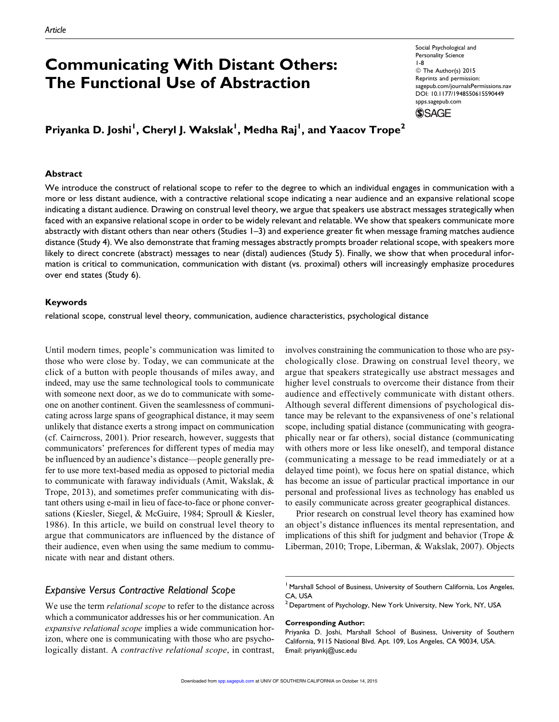# Communicating With Distant Others: The Functional Use of Abstraction

Social Psychological and Personality Science 1-8 © The Author(s) 2015 Reprints and permission: [sagepub.com/journalsPermissions.nav](http://www.sagepub.com/journalsPermissions.nav) DOI: 10.1177/1948550615590449 [spps.sagepub.com](http://spps.sagepub.com)

#### **SSAGE**

## Priyanka D. Joshi<sup>l</sup>, Cheryl J. Wakslak<sup>I</sup>, Medha Raj<sup>I</sup>, and Yaacov Trope<sup>2</sup>

#### Abstract

We introduce the construct of relational scope to refer to the degree to which an individual engages in communication with a more or less distant audience, with a contractive relational scope indicating a near audience and an expansive relational scope indicating a distant audience. Drawing on construal level theory, we argue that speakers use abstract messages strategically when faced with an expansive relational scope in order to be widely relevant and relatable. We show that speakers communicate more abstractly with distant others than near others (Studies 1–3) and experience greater fit when message framing matches audience distance (Study 4). We also demonstrate that framing messages abstractly prompts broader relational scope, with speakers more likely to direct concrete (abstract) messages to near (distal) audiences (Study 5). Finally, we show that when procedural information is critical to communication, communication with distant (vs. proximal) others will increasingly emphasize procedures over end states (Study 6).

#### Keywords

relational scope, construal level theory, communication, audience characteristics, psychological distance

Until modern times, people's communication was limited to those who were close by. Today, we can communicate at the click of a button with people thousands of miles away, and indeed, may use the same technological tools to communicate with someone next door, as we do to communicate with someone on another continent. Given the seamlessness of communicating across large spans of geographical distance, it may seem unlikely that distance exerts a strong impact on communication (cf. Cairncross, 2001). Prior research, however, suggests that communicators' preferences for different types of media may be influenced by an audience's distance—people generally prefer to use more text-based media as opposed to pictorial media to communicate with faraway individuals (Amit, Wakslak, & Trope, 2013), and sometimes prefer communicating with distant others using e-mail in lieu of face-to-face or phone conversations (Kiesler, Siegel, & McGuire, 1984; Sproull & Kiesler, 1986). In this article, we build on construal level theory to argue that communicators are influenced by the distance of their audience, even when using the same medium to communicate with near and distant others.

#### Expansive Versus Contractive Relational Scope

We use the term *relational scope* to refer to the distance across which a communicator addresses his or her communication. An expansive relational scope implies a wide communication horizon, where one is communicating with those who are psychologically distant. A *contractive relational scope*, in contrast, involves constraining the communication to those who are psychologically close. Drawing on construal level theory, we argue that speakers strategically use abstract messages and higher level construals to overcome their distance from their audience and effectively communicate with distant others. Although several different dimensions of psychological distance may be relevant to the expansiveness of one's relational scope, including spatial distance (communicating with geographically near or far others), social distance (communicating with others more or less like oneself), and temporal distance (communicating a message to be read immediately or at a delayed time point), we focus here on spatial distance, which has become an issue of particular practical importance in our personal and professional lives as technology has enabled us to easily communicate across greater geographical distances.

Prior research on construal level theory has examined how an object's distance influences its mental representation, and implications of this shift for judgment and behavior (Trope & Liberman, 2010; Trope, Liberman, & Wakslak, 2007). Objects

#### Corresponding Author:

<sup>&</sup>lt;sup>1</sup> Marshall School of Business, University of Southern California, Los Angeles, CA, USA

<sup>2</sup> Department of Psychology, New York University, New York, NY, USA

Priyanka D. Joshi, Marshall School of Business, University of Southern California, 9115 National Blvd. Apt. 109, Los Angeles, CA 90034, USA. Email: priyankj@usc.edu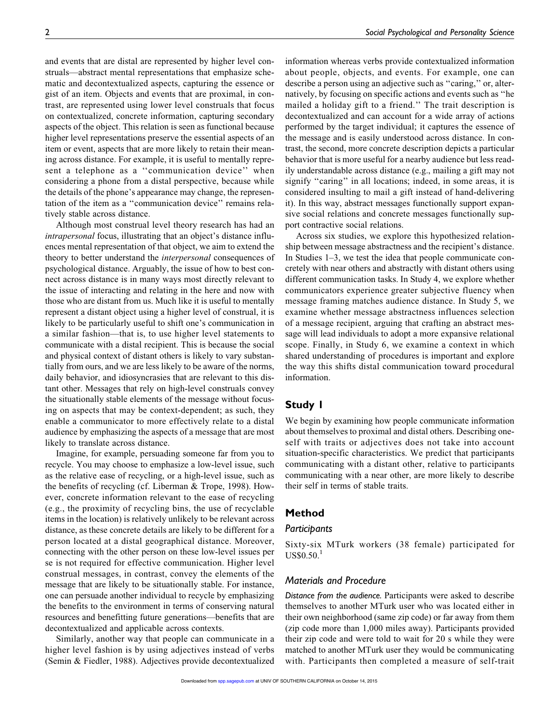and events that are distal are represented by higher level construals—abstract mental representations that emphasize schematic and decontextualized aspects, capturing the essence or gist of an item. Objects and events that are proximal, in contrast, are represented using lower level construals that focus on contextualized, concrete information, capturing secondary aspects of the object. This relation is seen as functional because higher level representations preserve the essential aspects of an item or event, aspects that are more likely to retain their meaning across distance. For example, it is useful to mentally represent a telephone as a ''communication device'' when considering a phone from a distal perspective, because while the details of the phone's appearance may change, the representation of the item as a ''communication device'' remains relatively stable across distance.

Although most construal level theory research has had an intrapersonal focus, illustrating that an object's distance influences mental representation of that object, we aim to extend the theory to better understand the interpersonal consequences of psychological distance. Arguably, the issue of how to best connect across distance is in many ways most directly relevant to the issue of interacting and relating in the here and now with those who are distant from us. Much like it is useful to mentally represent a distant object using a higher level of construal, it is likely to be particularly useful to shift one's communication in a similar fashion—that is, to use higher level statements to communicate with a distal recipient. This is because the social and physical context of distant others is likely to vary substantially from ours, and we are less likely to be aware of the norms, daily behavior, and idiosyncrasies that are relevant to this distant other. Messages that rely on high-level construals convey the situationally stable elements of the message without focusing on aspects that may be context-dependent; as such, they enable a communicator to more effectively relate to a distal audience by emphasizing the aspects of a message that are most likely to translate across distance.

Imagine, for example, persuading someone far from you to recycle. You may choose to emphasize a low-level issue, such as the relative ease of recycling, or a high-level issue, such as the benefits of recycling (cf. Liberman & Trope, 1998). However, concrete information relevant to the ease of recycling (e.g., the proximity of recycling bins, the use of recyclable items in the location) is relatively unlikely to be relevant across distance, as these concrete details are likely to be different for a person located at a distal geographical distance. Moreover, connecting with the other person on these low-level issues per se is not required for effective communication. Higher level construal messages, in contrast, convey the elements of the message that are likely to be situationally stable. For instance, one can persuade another individual to recycle by emphasizing the benefits to the environment in terms of conserving natural resources and benefitting future generations—benefits that are decontextualized and applicable across contexts.

Similarly, another way that people can communicate in a higher level fashion is by using adjectives instead of verbs (Semin & Fiedler, 1988). Adjectives provide decontextualized information whereas verbs provide contextualized information about people, objects, and events. For example, one can describe a person using an adjective such as ''caring,'' or, alternatively, by focusing on specific actions and events such as ''he mailed a holiday gift to a friend.'' The trait description is decontextualized and can account for a wide array of actions performed by the target individual; it captures the essence of the message and is easily understood across distance. In contrast, the second, more concrete description depicts a particular behavior that is more useful for a nearby audience but less readily understandable across distance (e.g., mailing a gift may not signify "caring" in all locations; indeed, in some areas, it is considered insulting to mail a gift instead of hand-delivering it). In this way, abstract messages functionally support expansive social relations and concrete messages functionally support contractive social relations.

Across six studies, we explore this hypothesized relationship between message abstractness and the recipient's distance. In Studies 1–3, we test the idea that people communicate concretely with near others and abstractly with distant others using different communication tasks. In Study 4, we explore whether communicators experience greater subjective fluency when message framing matches audience distance. In Study 5, we examine whether message abstractness influences selection of a message recipient, arguing that crafting an abstract message will lead individuals to adopt a more expansive relational scope. Finally, in Study 6, we examine a context in which shared understanding of procedures is important and explore the way this shifts distal communication toward procedural information.

## Study 1

We begin by examining how people communicate information about themselves to proximal and distal others. Describing oneself with traits or adjectives does not take into account situation-specific characteristics. We predict that participants communicating with a distant other, relative to participants communicating with a near other, are more likely to describe their self in terms of stable traits.

## Method

#### **Participants**

Sixty-six MTurk workers (38 female) participated for US\$0.50.<sup>1</sup>

#### Materials and Procedure

Distance from the audience. Participants were asked to describe themselves to another MTurk user who was located either in their own neighborhood (same zip code) or far away from them (zip code more than 1,000 miles away). Participants provided their zip code and were told to wait for 20 s while they were matched to another MTurk user they would be communicating with. Participants then completed a measure of self-trait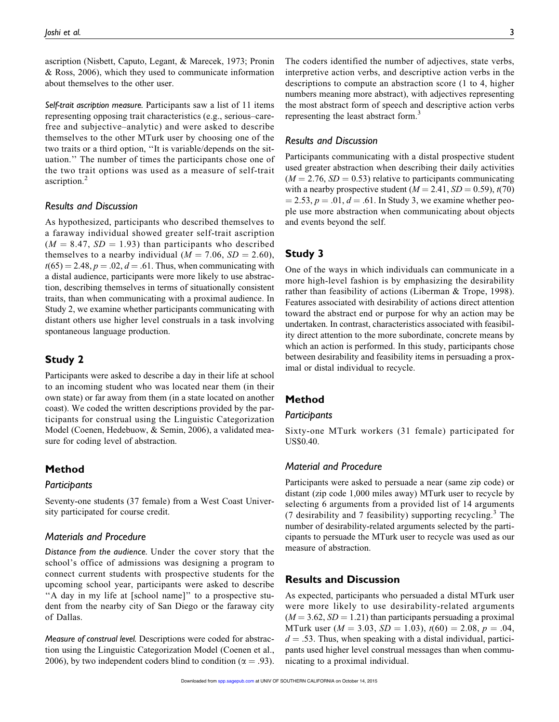ascription (Nisbett, Caputo, Legant, & Marecek, 1973; Pronin & Ross, 2006), which they used to communicate information about themselves to the other user.

Self-trait ascription measure. Participants saw a list of 11 items representing opposing trait characteristics (e.g., serious–carefree and subjective–analytic) and were asked to describe themselves to the other MTurk user by choosing one of the two traits or a third option, ''It is variable/depends on the situation.'' The number of times the participants chose one of the two trait options was used as a measure of self-trait ascription.<sup>2</sup>

#### Results and Discussion

As hypothesized, participants who described themselves to a faraway individual showed greater self-trait ascription  $(M = 8.47, SD = 1.93)$  than participants who described themselves to a nearby individual ( $M = 7.06$ ,  $SD = 2.60$ ),  $t(65) = 2.48, p = .02, d = .61$ . Thus, when communicating with a distal audience, participants were more likely to use abstraction, describing themselves in terms of situationally consistent traits, than when communicating with a proximal audience. In Study 2, we examine whether participants communicating with distant others use higher level construals in a task involving spontaneous language production.

## Study 2

Participants were asked to describe a day in their life at school to an incoming student who was located near them (in their own state) or far away from them (in a state located on another coast). We coded the written descriptions provided by the participants for construal using the Linguistic Categorization Model (Coenen, Hedebuow, & Semin, 2006), a validated measure for coding level of abstraction.

## Method

#### Participants

Seventy-one students (37 female) from a West Coast University participated for course credit.

#### Materials and Procedure

Distance from the audience. Under the cover story that the school's office of admissions was designing a program to connect current students with prospective students for the upcoming school year, participants were asked to describe ''A day in my life at [school name]'' to a prospective student from the nearby city of San Diego or the faraway city of Dallas.

Measure of construal level. Descriptions were coded for abstraction using the Linguistic Categorization Model (Coenen et al., 2006), by two independent coders blind to condition ( $\alpha = .93$ ). The coders identified the number of adjectives, state verbs, interpretive action verbs, and descriptive action verbs in the

descriptions to compute an abstraction score (1 to 4, higher numbers meaning more abstract), with adjectives representing the most abstract form of speech and descriptive action verbs representing the least abstract form.<sup>3</sup>

## Results and Discussion

Participants communicating with a distal prospective student used greater abstraction when describing their daily activities  $(M = 2.76, SD = 0.53)$  relative to participants communicating with a nearby prospective student ( $M = 2.41$ ,  $SD = 0.59$ ),  $t(70)$  $= 2.53, p = .01, d = .61$ . In Study 3, we examine whether people use more abstraction when communicating about objects and events beyond the self.

## Study 3

One of the ways in which individuals can communicate in a more high-level fashion is by emphasizing the desirability rather than feasibility of actions (Liberman & Trope, 1998). Features associated with desirability of actions direct attention toward the abstract end or purpose for why an action may be undertaken. In contrast, characteristics associated with feasibility direct attention to the more subordinate, concrete means by which an action is performed. In this study, participants chose between desirability and feasibility items in persuading a proximal or distal individual to recycle.

## Method

#### **Participants**

Sixty-one MTurk workers (31 female) participated for US\$0.40.

## Material and Procedure

Participants were asked to persuade a near (same zip code) or distant (zip code 1,000 miles away) MTurk user to recycle by selecting 6 arguments from a provided list of 14 arguments (7 desirability and 7 feasibility) supporting recycling.<sup>3</sup> The number of desirability-related arguments selected by the participants to persuade the MTurk user to recycle was used as our measure of abstraction.

#### Results and Discussion

As expected, participants who persuaded a distal MTurk user were more likely to use desirability-related arguments  $(M = 3.62, SD = 1.21)$  than participants persuading a proximal MTurk user ( $M = 3.03$ ,  $SD = 1.03$ ),  $t(60) = 2.08$ ,  $p = .04$ ,  $d = .53$ . Thus, when speaking with a distal individual, participants used higher level construal messages than when communicating to a proximal individual.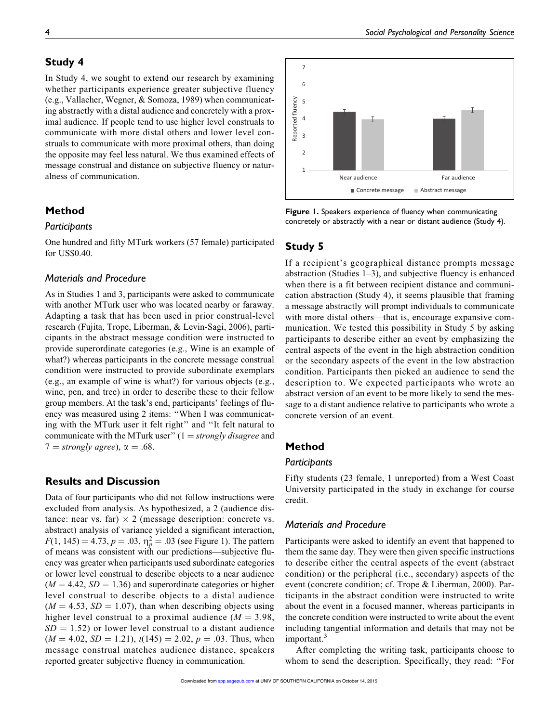#### Study 4

In Study 4, we sought to extend our research by examining whether participants experience greater subjective fluency (e.g., Vallacher, Wegner, & Somoza, 1989) when communicating abstractly with a distal audience and concretely with a proximal audience. If people tend to use higher level construals to communicate with more distal others and lower level construals to communicate with more proximal others, than doing the opposite may feel less natural. We thus examined effects of message construal and distance on subjective fluency or naturalness of communication.

#### Method

#### **Participants**

One hundred and fifty MTurk workers (57 female) participated for US\$0.40.

## Materials and Procedure

As in Studies 1 and 3, participants were asked to communicate with another MTurk user who was located nearby or faraway. Adapting a task that has been used in prior construal-level research (Fujita, Trope, Liberman, & Levin-Sagi, 2006), participants in the abstract message condition were instructed to provide superordinate categories (e.g., Wine is an example of what?) whereas participants in the concrete message construal condition were instructed to provide subordinate exemplars (e.g., an example of wine is what?) for various objects (e.g., wine, pen, and tree) in order to describe these to their fellow group members. At the task's end, participants' feelings of fluency was measured using 2 items: ''When I was communicating with the MTurk user it felt right'' and ''It felt natural to communicate with the MTurk user"  $(1 = strongly disagree$  and  $7 =$  strongly agree),  $\alpha = .68$ .

#### Results and Discussion

Data of four participants who did not follow instructions were excluded from analysis. As hypothesized, a 2 (audience distance: near vs. far)  $\times$  2 (message description: concrete vs. abstract) analysis of variance yielded a significant interaction,  $F(1, 145) = 4.73, p = .03, \eta_p^2 = .03$  (see Figure 1). The pattern of means was consistent with our predictions—subjective fluency was greater when participants used subordinate categories or lower level construal to describe objects to a near audience  $(M = 4.42, SD = 1.36)$  and superordinate categories or higher level construal to describe objects to a distal audience  $(M = 4.53, SD = 1.07)$ , than when describing objects using higher level construal to a proximal audience ( $M = 3.98$ ,  $SD = 1.52$ ) or lower level construal to a distant audience  $(M = 4.02, SD = 1.21), t(145) = 2.02, p = .03.$  Thus, when message construal matches audience distance, speakers reported greater subjective fluency in communication.



Figure 1. Speakers experience of fluency when communicating concretely or abstractly with a near or distant audience (Study 4).

## Study 5

If a recipient's geographical distance prompts message abstraction (Studies 1–3), and subjective fluency is enhanced when there is a fit between recipient distance and communication abstraction (Study 4), it seems plausible that framing a message abstractly will prompt individuals to communicate with more distal others—that is, encourage expansive communication. We tested this possibility in Study 5 by asking participants to describe either an event by emphasizing the central aspects of the event in the high abstraction condition or the secondary aspects of the event in the low abstraction condition. Participants then picked an audience to send the description to. We expected participants who wrote an abstract version of an event to be more likely to send the message to a distant audience relative to participants who wrote a concrete version of an event.

## Method

### **Participants**

Fifty students (23 female, 1 unreported) from a West Coast University participated in the study in exchange for course credit.

#### Materials and Procedure

Participants were asked to identify an event that happened to them the same day. They were then given specific instructions to describe either the central aspects of the event (abstract condition) or the peripheral (i.e., secondary) aspects of the event (concrete condition; cf. Trope & Liberman, 2000). Participants in the abstract condition were instructed to write about the event in a focused manner, whereas participants in the concrete condition were instructed to write about the event including tangential information and details that may not be important.<sup>3</sup>

After completing the writing task, participants choose to whom to send the description. Specifically, they read: ''For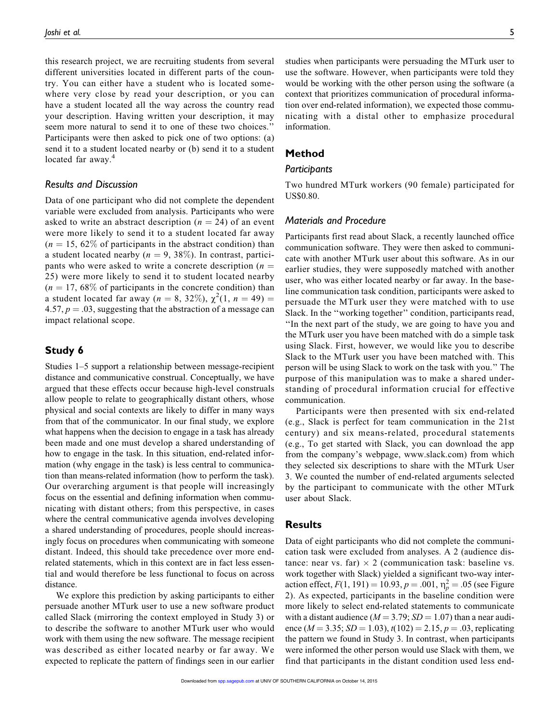this research project, we are recruiting students from several different universities located in different parts of the country. You can either have a student who is located somewhere very close by read your description, or you can have a student located all the way across the country read your description. Having written your description, it may seem more natural to send it to one of these two choices.'' Participants were then asked to pick one of two options: (a) send it to a student located nearby or (b) send it to a student located far away.<sup>4</sup>

#### Results and Discussion

Data of one participant who did not complete the dependent variable were excluded from analysis. Participants who were asked to write an abstract description ( $n = 24$ ) of an event were more likely to send it to a student located far away  $(n = 15, 62\%$  of participants in the abstract condition) than a student located nearby ( $n = 9, 38\%$ ). In contrast, participants who were asked to write a concrete description ( $n =$ 25) were more likely to send it to student located nearby  $(n = 17, 68\%$  of participants in the concrete condition) than a student located far away ( $n = 8, 32\%$ ),  $\chi^2(1, n = 49) =$ 4.57,  $p = .03$ , suggesting that the abstraction of a message can impact relational scope.

## Study 6

Studies 1–5 support a relationship between message-recipient distance and communicative construal. Conceptually, we have argued that these effects occur because high-level construals allow people to relate to geographically distant others, whose physical and social contexts are likely to differ in many ways from that of the communicator. In our final study, we explore what happens when the decision to engage in a task has already been made and one must develop a shared understanding of how to engage in the task. In this situation, end-related information (why engage in the task) is less central to communication than means-related information (how to perform the task). Our overarching argument is that people will increasingly focus on the essential and defining information when communicating with distant others; from this perspective, in cases where the central communicative agenda involves developing a shared understanding of procedures, people should increasingly focus on procedures when communicating with someone distant. Indeed, this should take precedence over more endrelated statements, which in this context are in fact less essential and would therefore be less functional to focus on across distance.

We explore this prediction by asking participants to either persuade another MTurk user to use a new software product called Slack (mirroring the context employed in Study 3) or to describe the software to another MTurk user who would work with them using the new software. The message recipient was described as either located nearby or far away. We expected to replicate the pattern of findings seen in our earlier

studies when participants were persuading the MTurk user to use the software. However, when participants were told they would be working with the other person using the software (a context that prioritizes communication of procedural information over end-related information), we expected those communicating with a distal other to emphasize procedural information.

#### Method

#### **Participants**

Two hundred MTurk workers (90 female) participated for US\$0.80.

## Materials and Procedure

Participants first read about Slack, a recently launched office communication software. They were then asked to communicate with another MTurk user about this software. As in our earlier studies, they were supposedly matched with another user, who was either located nearby or far away. In the baseline communication task condition, participants were asked to persuade the MTurk user they were matched with to use Slack. In the ''working together'' condition, participants read, ''In the next part of the study, we are going to have you and the MTurk user you have been matched with do a simple task using Slack. First, however, we would like you to describe Slack to the MTurk user you have been matched with. This person will be using Slack to work on the task with you.'' The purpose of this manipulation was to make a shared understanding of procedural information crucial for effective communication.

Participants were then presented with six end-related (e.g., Slack is perfect for team communication in the 21st century) and six means-related, procedural statements (e.g., To get started with Slack, you can download the app from the company's webpage, [www.slack.com](http://www.slack.com)) from which they selected six descriptions to share with the MTurk User 3. We counted the number of end-related arguments selected by the participant to communicate with the other MTurk user about Slack.

#### **Results**

Data of eight participants who did not complete the communication task were excluded from analyses. A 2 (audience distance: near vs. far)  $\times$  2 (communication task: baseline vs. work together with Slack) yielded a significant two-way interaction effect,  $F(1, 191) = 10.93$ ,  $p = .001$ ,  $\eta_p^2 = .05$  (see Figure 2). As expected, participants in the baseline condition were more likely to select end-related statements to communicate with a distant audience ( $M = 3.79$ ;  $SD = 1.07$ ) than a near audience ( $M = 3.35$ ;  $SD = 1.03$ ),  $t(102) = 2.15$ ,  $p = .03$ , replicating the pattern we found in Study 3. In contrast, when participants were informed the other person would use Slack with them, we find that participants in the distant condition used less end-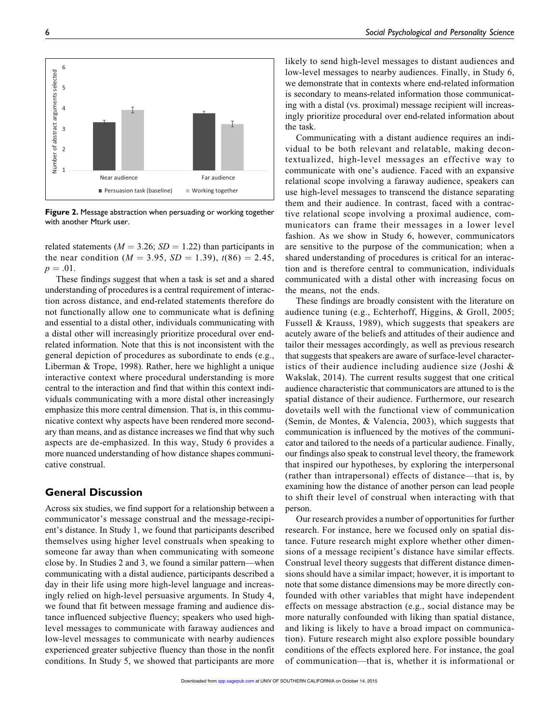likely to send high-level messages to distant audiences and low-level messages to nearby audiences. Finally, in Study 6, we demonstrate that in contexts where end-related information is secondary to means-related information those communicating with a distal (vs. proximal) message recipient will increasingly prioritize procedural over end-related information about the task.

Communicating with a distant audience requires an individual to be both relevant and relatable, making decontextualized, high-level messages an effective way to communicate with one's audience. Faced with an expansive relational scope involving a faraway audience, speakers can use high-level messages to transcend the distance separating them and their audience. In contrast, faced with a contractive relational scope involving a proximal audience, communicators can frame their messages in a lower level fashion. As we show in Study 6, however, communicators are sensitive to the purpose of the communication; when a shared understanding of procedures is critical for an interaction and is therefore central to communication, individuals communicated with a distal other with increasing focus on the means, not the ends.

These findings are broadly consistent with the literature on audience tuning (e.g., Echterhoff, Higgins, & Groll, 2005; Fussell & Krauss, 1989), which suggests that speakers are acutely aware of the beliefs and attitudes of their audience and tailor their messages accordingly, as well as previous research that suggests that speakers are aware of surface-level characteristics of their audience including audience size (Joshi & Wakslak, 2014). The current results suggest that one critical audience characteristic that communicators are attuned to is the spatial distance of their audience. Furthermore, our research dovetails well with the functional view of communication (Semin, de Montes, & Valencia, 2003), which suggests that communication is influenced by the motives of the communicator and tailored to the needs of a particular audience. Finally, our findings also speak to construal level theory, the framework that inspired our hypotheses, by exploring the interpersonal (rather than intrapersonal) effects of distance—that is, by examining how the distance of another person can lead people to shift their level of construal when interacting with that person.

Our research provides a number of opportunities for further research. For instance, here we focused only on spatial distance. Future research might explore whether other dimensions of a message recipient's distance have similar effects. Construal level theory suggests that different distance dimensions should have a similar impact; however, it is important to note that some distance dimensions may be more directly confounded with other variables that might have independent effects on message abstraction (e.g., social distance may be more naturally confounded with liking than spatial distance, and liking is likely to have a broad impact on communication). Future research might also explore possible boundary conditions of the effects explored here. For instance, the goal of communication—that is, whether it is informational or

#### Figure 2. Message abstraction when persuading or working together with another Mturk user.

related statements ( $M = 3.26$ ;  $SD = 1.22$ ) than participants in the near condition ( $M = 3.95$ ,  $SD = 1.39$ ),  $t(86) = 2.45$ ,  $p = .01$ .

These findings suggest that when a task is set and a shared understanding of procedures is a central requirement of interaction across distance, and end-related statements therefore do not functionally allow one to communicate what is defining and essential to a distal other, individuals communicating with a distal other will increasingly prioritize procedural over endrelated information. Note that this is not inconsistent with the general depiction of procedures as subordinate to ends (e.g., Liberman & Trope, 1998). Rather, here we highlight a unique interactive context where procedural understanding is more central to the interaction and find that within this context individuals communicating with a more distal other increasingly emphasize this more central dimension. That is, in this communicative context why aspects have been rendered more secondary than means, and as distance increases we find that why such aspects are de-emphasized. In this way, Study 6 provides a more nuanced understanding of how distance shapes communicative construal.

## General Discussion

Across six studies, we find support for a relationship between a communicator's message construal and the message-recipient's distance. In Study 1, we found that participants described themselves using higher level construals when speaking to someone far away than when communicating with someone close by. In Studies 2 and 3, we found a similar pattern—when communicating with a distal audience, participants described a day in their life using more high-level language and increasingly relied on high-level persuasive arguments. In Study 4, we found that fit between message framing and audience distance influenced subjective fluency; speakers who used highlevel messages to communicate with faraway audiences and low-level messages to communicate with nearby audiences experienced greater subjective fluency than those in the nonfit conditions. In Study 5, we showed that participants are more

1 2 3 4 5 Near audience Far audience

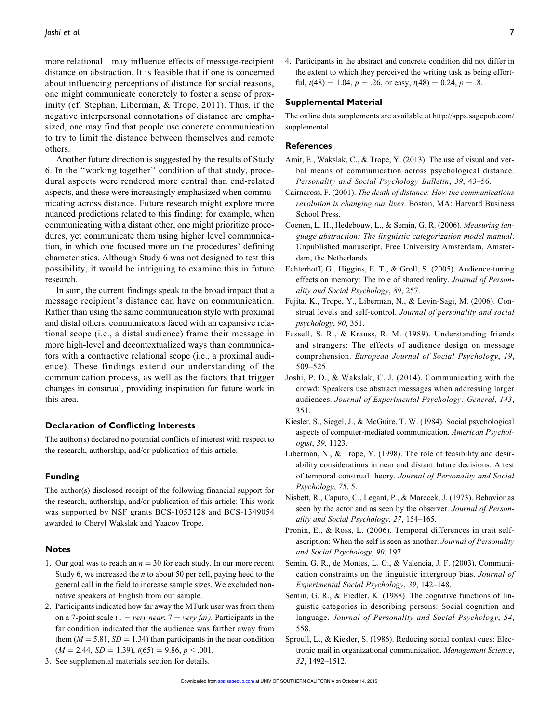more relational—may influence effects of message-recipient distance on abstraction. It is feasible that if one is concerned about influencing perceptions of distance for social reasons, one might communicate concretely to foster a sense of proximity (cf. Stephan, Liberman, & Trope, 2011). Thus, if the negative interpersonal connotations of distance are emphasized, one may find that people use concrete communication to try to limit the distance between themselves and remote others.

Another future direction is suggested by the results of Study 6. In the ''working together'' condition of that study, procedural aspects were rendered more central than end-related aspects, and these were increasingly emphasized when communicating across distance. Future research might explore more nuanced predictions related to this finding: for example, when communicating with a distant other, one might prioritize procedures, yet communicate them using higher level communication, in which one focused more on the procedures' defining characteristics. Although Study 6 was not designed to test this possibility, it would be intriguing to examine this in future research.

In sum, the current findings speak to the broad impact that a message recipient's distance can have on communication. Rather than using the same communication style with proximal and distal others, communicators faced with an expansive relational scope (i.e., a distal audience) frame their message in more high-level and decontextualized ways than communicators with a contractive relational scope (i.e., a proximal audience). These findings extend our understanding of the communication process, as well as the factors that trigger changes in construal, providing inspiration for future work in this area.

#### Declaration of Conflicting Interests

The author(s) declared no potential conflicts of interest with respect to the research, authorship, and/or publication of this article.

#### Funding

The author(s) disclosed receipt of the following financial support for the research, authorship, and/or publication of this article: This work was supported by NSF grants BCS-1053128 and BCS-1349054 awarded to Cheryl Wakslak and Yaacov Trope.

#### Notes

- 1. Our goal was to reach an  $n = 30$  for each study. In our more recent Study 6, we increased the  $n$  to about 50 per cell, paying heed to the general call in the field to increase sample sizes. We excluded nonnative speakers of English from our sample.
- 2. Participants indicated how far away the MTurk user was from them on a 7-point scale (1 = very near; 7 = very far). Participants in the far condition indicated that the audience was farther away from them ( $M = 5.81$ ,  $SD = 1.34$ ) than participants in the near condition  $(M = 2.44, SD = 1.39), t(65) = 9.86, p < .001.$
- 3. See supplemental materials section for details.

4. Participants in the abstract and concrete condition did not differ in the extent to which they perceived the writing task as being effortful,  $t(48) = 1.04$ ,  $p = .26$ , or easy,  $t(48) = 0.24$ ,  $p = .8$ .

#### Supplemental Material

The online data supplements are available at [http://spps.sagepub.com/](http://spps.sagepub.com/supplemental) [supplemental](http://spps.sagepub.com/supplemental).

#### References

- Amit, E., Wakslak, C., & Trope, Y. (2013). The use of visual and verbal means of communication across psychological distance. Personality and Social Psychology Bulletin, 39, 43–56.
- Cairncross, F. (2001). The death of distance: How the communications revolution is changing our lives. Boston, MA: Harvard Business School Press.
- Coenen, L. H., Hedebouw, L., & Semin, G. R. (2006). Measuring language abstraction: The linguistic categorization model manual. Unpublished manuscript, Free University Amsterdam, Amsterdam, the Netherlands.
- Echterhoff, G., Higgins, E. T., & Groll, S. (2005). Audience-tuning effects on memory: The role of shared reality. Journal of Personality and Social Psychology, 89, 257.
- Fujita, K., Trope, Y., Liberman, N., & Levin-Sagi, M. (2006). Construal levels and self-control. Journal of personality and social psychology, 90, 351.
- Fussell, S. R., & Krauss, R. M. (1989). Understanding friends and strangers: The effects of audience design on message comprehension. European Journal of Social Psychology, 19, 509–525.
- Joshi, P. D., & Wakslak, C. J. (2014). Communicating with the crowd: Speakers use abstract messages when addressing larger audiences. Journal of Experimental Psychology: General, 143, 351.
- Kiesler, S., Siegel, J., & McGuire, T. W. (1984). Social psychological aspects of computer-mediated communication. American Psychologist, 39, 1123.
- Liberman, N., & Trope, Y. (1998). The role of feasibility and desirability considerations in near and distant future decisions: A test of temporal construal theory. Journal of Personality and Social Psychology, 75, 5.
- Nisbett, R., Caputo, C., Legant, P., & Marecek, J. (1973). Behavior as seen by the actor and as seen by the observer. Journal of Personality and Social Psychology, 27, 154–165.
- Pronin, E., & Ross, L. (2006). Temporal differences in trait selfascription: When the self is seen as another. Journal of Personality and Social Psychology, 90, 197.
- Semin, G. R., de Montes, L. G., & Valencia, J. F. (2003). Communication constraints on the linguistic intergroup bias. Journal of Experimental Social Psychology, 39, 142–148.
- Semin, G. R., & Fiedler, K. (1988). The cognitive functions of linguistic categories in describing persons: Social cognition and language. Journal of Personality and Social Psychology, 54, 558.
- Sproull, L., & Kiesler, S. (1986). Reducing social context cues: Electronic mail in organizational communication. Management Science, 32, 1492–1512.